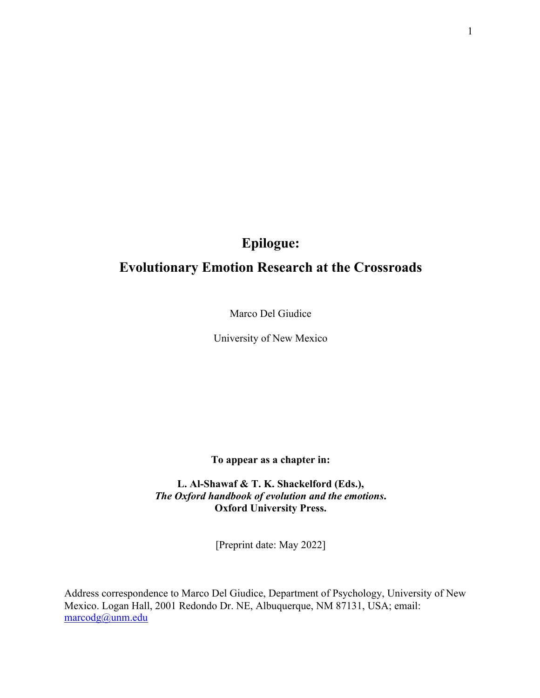# **Epilogue:**

## **Evolutionary Emotion Research at the Crossroads**

Marco Del Giudice

University of New Mexico

**To appear as a chapter in:**

**L. Al-Shawaf & T. K. Shackelford (Eds.),**  *The Oxford handbook of evolution and the emotions***. Oxford University Press.**

[Preprint date: May 2022]

Address correspondence to Marco Del Giudice, Department of Psychology, University of New Mexico. Logan Hall, 2001 Redondo Dr. NE, Albuquerque, NM 87131, USA; email: marcodg@unm.edu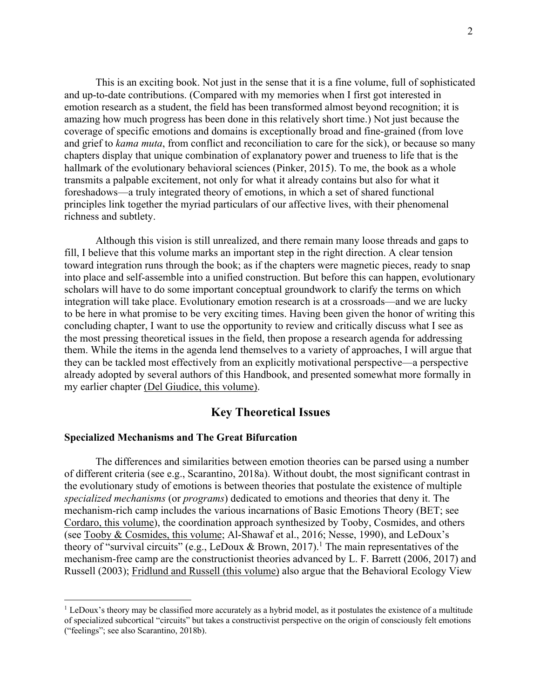This is an exciting book. Not just in the sense that it is a fine volume, full of sophisticated and up-to-date contributions. (Compared with my memories when I first got interested in emotion research as a student, the field has been transformed almost beyond recognition; it is amazing how much progress has been done in this relatively short time.) Not just because the coverage of specific emotions and domains is exceptionally broad and fine-grained (from love and grief to *kama muta*, from conflict and reconciliation to care for the sick), or because so many chapters display that unique combination of explanatory power and trueness to life that is the hallmark of the evolutionary behavioral sciences (Pinker, 2015). To me, the book as a whole transmits a palpable excitement, not only for what it already contains but also for what it foreshadows—a truly integrated theory of emotions, in which a set of shared functional principles link together the myriad particulars of our affective lives, with their phenomenal richness and subtlety.

Although this vision is still unrealized, and there remain many loose threads and gaps to fill, I believe that this volume marks an important step in the right direction. A clear tension toward integration runs through the book; as if the chapters were magnetic pieces, ready to snap into place and self-assemble into a unified construction. But before this can happen, evolutionary scholars will have to do some important conceptual groundwork to clarify the terms on which integration will take place. Evolutionary emotion research is at a crossroads—and we are lucky to be here in what promise to be very exciting times. Having been given the honor of writing this concluding chapter, I want to use the opportunity to review and critically discuss what I see as the most pressing theoretical issues in the field, then propose a research agenda for addressing them. While the items in the agenda lend themselves to a variety of approaches, I will argue that they can be tackled most effectively from an explicitly motivational perspective—a perspective already adopted by several authors of this Handbook, and presented somewhat more formally in my earlier chapter (Del Giudice, this volume).

## **Key Theoretical Issues**

#### **Specialized Mechanisms and The Great Bifurcation**

The differences and similarities between emotion theories can be parsed using a number of different criteria (see e.g., Scarantino, 2018a). Without doubt, the most significant contrast in the evolutionary study of emotions is between theories that postulate the existence of multiple *specialized mechanisms* (or *programs*) dedicated to emotions and theories that deny it. The mechanism-rich camp includes the various incarnations of Basic Emotions Theory (BET; see Cordaro, this volume), the coordination approach synthesized by Tooby, Cosmides, and others (see Tooby & Cosmides, this volume; Al-Shawaf et al., 2016; Nesse, 1990), and LeDoux's theory of "survival circuits" (e.g., LeDoux & Brown, 2017).<sup>1</sup> The main representatives of the mechanism-free camp are the constructionist theories advanced by L. F. Barrett (2006, 2017) and Russell (2003); Fridlund and Russell (this volume) also argue that the Behavioral Ecology View

 $1$  LeDoux's theory may be classified more accurately as a hybrid model, as it postulates the existence of a multitude of specialized subcortical "circuits" but takes a constructivist perspective on the origin of consciously felt emotions ("feelings"; see also Scarantino, 2018b).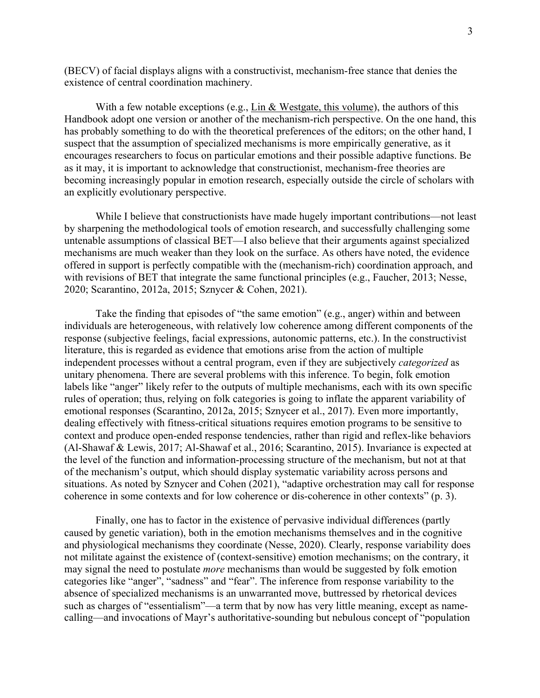(BECV) of facial displays aligns with a constructivist, mechanism-free stance that denies the existence of central coordination machinery.

With a few notable exceptions (e.g., Lin & Westgate, this volume), the authors of this Handbook adopt one version or another of the mechanism-rich perspective. On the one hand, this has probably something to do with the theoretical preferences of the editors; on the other hand, I suspect that the assumption of specialized mechanisms is more empirically generative, as it encourages researchers to focus on particular emotions and their possible adaptive functions. Be as it may, it is important to acknowledge that constructionist, mechanism-free theories are becoming increasingly popular in emotion research, especially outside the circle of scholars with an explicitly evolutionary perspective.

While I believe that constructionists have made hugely important contributions—not least by sharpening the methodological tools of emotion research, and successfully challenging some untenable assumptions of classical BET—I also believe that their arguments against specialized mechanisms are much weaker than they look on the surface. As others have noted, the evidence offered in support is perfectly compatible with the (mechanism-rich) coordination approach, and with revisions of BET that integrate the same functional principles (e.g., Faucher, 2013; Nesse, 2020; Scarantino, 2012a, 2015; Sznycer & Cohen, 2021).

Take the finding that episodes of "the same emotion" (e.g., anger) within and between individuals are heterogeneous, with relatively low coherence among different components of the response (subjective feelings, facial expressions, autonomic patterns, etc.). In the constructivist literature, this is regarded as evidence that emotions arise from the action of multiple independent processes without a central program, even if they are subjectively *categorized* as unitary phenomena. There are several problems with this inference. To begin, folk emotion labels like "anger" likely refer to the outputs of multiple mechanisms, each with its own specific rules of operation; thus, relying on folk categories is going to inflate the apparent variability of emotional responses (Scarantino, 2012a, 2015; Sznycer et al., 2017). Even more importantly, dealing effectively with fitness-critical situations requires emotion programs to be sensitive to context and produce open-ended response tendencies, rather than rigid and reflex-like behaviors (Al-Shawaf & Lewis, 2017; Al-Shawaf et al., 2016; Scarantino, 2015). Invariance is expected at the level of the function and information-processing structure of the mechanism, but not at that of the mechanism's output, which should display systematic variability across persons and situations. As noted by Sznycer and Cohen (2021), "adaptive orchestration may call for response coherence in some contexts and for low coherence or dis-coherence in other contexts" (p. 3).

Finally, one has to factor in the existence of pervasive individual differences (partly caused by genetic variation), both in the emotion mechanisms themselves and in the cognitive and physiological mechanisms they coordinate (Nesse, 2020). Clearly, response variability does not militate against the existence of (context-sensitive) emotion mechanisms; on the contrary, it may signal the need to postulate *more* mechanisms than would be suggested by folk emotion categories like "anger", "sadness" and "fear". The inference from response variability to the absence of specialized mechanisms is an unwarranted move, buttressed by rhetorical devices such as charges of "essentialism"—a term that by now has very little meaning, except as namecalling—and invocations of Mayr's authoritative-sounding but nebulous concept of "population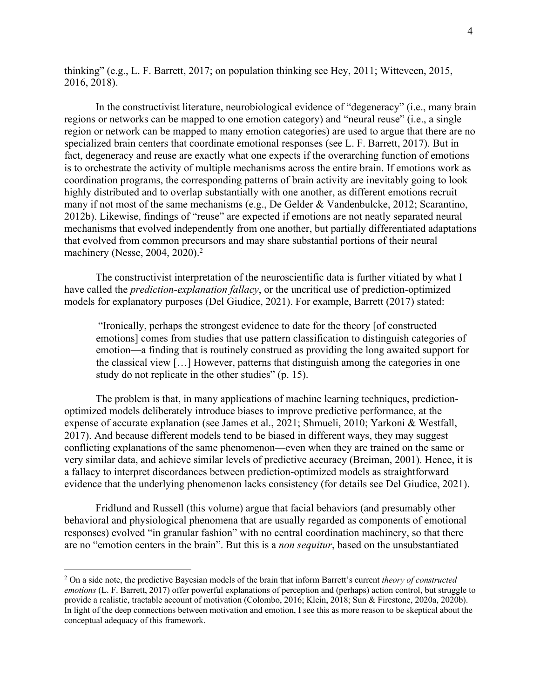thinking" (e.g., L. F. Barrett, 2017; on population thinking see Hey, 2011; Witteveen, 2015, 2016, 2018).

In the constructivist literature, neurobiological evidence of "degeneracy" (i.e., many brain regions or networks can be mapped to one emotion category) and "neural reuse" (i.e., a single region or network can be mapped to many emotion categories) are used to argue that there are no specialized brain centers that coordinate emotional responses (see L. F. Barrett, 2017). But in fact, degeneracy and reuse are exactly what one expects if the overarching function of emotions is to orchestrate the activity of multiple mechanisms across the entire brain. If emotions work as coordination programs, the corresponding patterns of brain activity are inevitably going to look highly distributed and to overlap substantially with one another, as different emotions recruit many if not most of the same mechanisms (e.g., De Gelder & Vandenbulcke, 2012; Scarantino, 2012b). Likewise, findings of "reuse" are expected if emotions are not neatly separated neural mechanisms that evolved independently from one another, but partially differentiated adaptations that evolved from common precursors and may share substantial portions of their neural machinery (Nesse, 2004, 2020).<sup>2</sup>

The constructivist interpretation of the neuroscientific data is further vitiated by what I have called the *prediction-explanation fallacy*, or the uncritical use of prediction-optimized models for explanatory purposes (Del Giudice, 2021). For example, Barrett (2017) stated:

"Ironically, perhaps the strongest evidence to date for the theory [of constructed emotions] comes from studies that use pattern classification to distinguish categories of emotion—a finding that is routinely construed as providing the long awaited support for the classical view […] However, patterns that distinguish among the categories in one study do not replicate in the other studies" (p. 15).

The problem is that, in many applications of machine learning techniques, predictionoptimized models deliberately introduce biases to improve predictive performance, at the expense of accurate explanation (see James et al., 2021; Shmueli, 2010; Yarkoni & Westfall, 2017). And because different models tend to be biased in different ways, they may suggest conflicting explanations of the same phenomenon—even when they are trained on the same or very similar data, and achieve similar levels of predictive accuracy (Breiman, 2001). Hence, it is a fallacy to interpret discordances between prediction-optimized models as straightforward evidence that the underlying phenomenon lacks consistency (for details see Del Giudice, 2021).

Fridlund and Russell (this volume) argue that facial behaviors (and presumably other behavioral and physiological phenomena that are usually regarded as components of emotional responses) evolved "in granular fashion" with no central coordination machinery, so that there are no "emotion centers in the brain". But this is a *non sequitur*, based on the unsubstantiated

<sup>2</sup> On a side note, the predictive Bayesian models of the brain that inform Barrett's current *theory of constructed emotions* (L. F. Barrett, 2017) offer powerful explanations of perception and (perhaps) action control, but struggle to provide a realistic, tractable account of motivation (Colombo, 2016; Klein, 2018; Sun & Firestone, 2020a, 2020b). In light of the deep connections between motivation and emotion, I see this as more reason to be skeptical about the conceptual adequacy of this framework.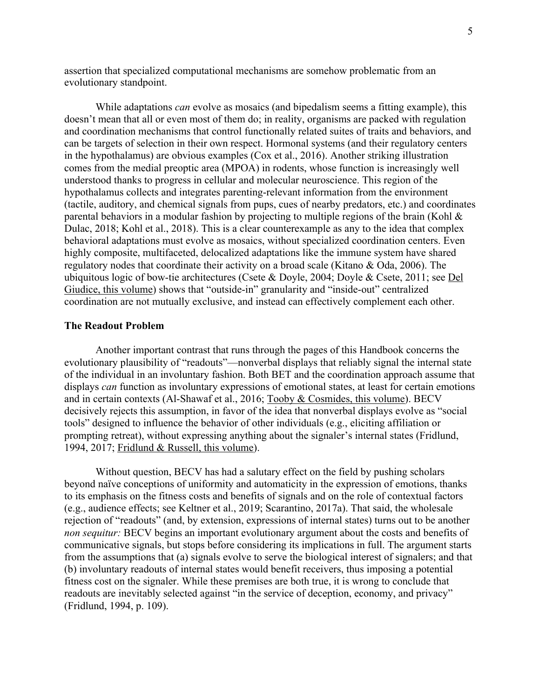assertion that specialized computational mechanisms are somehow problematic from an evolutionary standpoint.

While adaptations *can* evolve as mosaics (and bipedalism seems a fitting example), this doesn't mean that all or even most of them do; in reality, organisms are packed with regulation and coordination mechanisms that control functionally related suites of traits and behaviors, and can be targets of selection in their own respect. Hormonal systems (and their regulatory centers in the hypothalamus) are obvious examples (Cox et al., 2016). Another striking illustration comes from the medial preoptic area (MPOA) in rodents, whose function is increasingly well understood thanks to progress in cellular and molecular neuroscience. This region of the hypothalamus collects and integrates parenting-relevant information from the environment (tactile, auditory, and chemical signals from pups, cues of nearby predators, etc.) and coordinates parental behaviors in a modular fashion by projecting to multiple regions of the brain (Kohl & Dulac, 2018; Kohl et al., 2018). This is a clear counterexample as any to the idea that complex behavioral adaptations must evolve as mosaics, without specialized coordination centers. Even highly composite, multifaceted, delocalized adaptations like the immune system have shared regulatory nodes that coordinate their activity on a broad scale (Kitano & Oda, 2006). The ubiquitous logic of bow-tie architectures (Csete & Doyle, 2004; Doyle & Csete, 2011; see Del Giudice, this volume) shows that "outside-in" granularity and "inside-out" centralized coordination are not mutually exclusive, and instead can effectively complement each other.

#### **The Readout Problem**

Another important contrast that runs through the pages of this Handbook concerns the evolutionary plausibility of "readouts"—nonverbal displays that reliably signal the internal state of the individual in an involuntary fashion. Both BET and the coordination approach assume that displays *can* function as involuntary expressions of emotional states, at least for certain emotions and in certain contexts (Al-Shawaf et al., 2016; Tooby & Cosmides, this volume). BECV decisively rejects this assumption, in favor of the idea that nonverbal displays evolve as "social tools" designed to influence the behavior of other individuals (e.g., eliciting affiliation or prompting retreat), without expressing anything about the signaler's internal states (Fridlund, 1994, 2017; Fridlund & Russell, this volume).

Without question, BECV has had a salutary effect on the field by pushing scholars beyond naïve conceptions of uniformity and automaticity in the expression of emotions, thanks to its emphasis on the fitness costs and benefits of signals and on the role of contextual factors (e.g., audience effects; see Keltner et al., 2019; Scarantino, 2017a). That said, the wholesale rejection of "readouts" (and, by extension, expressions of internal states) turns out to be another *non sequitur:* BECV begins an important evolutionary argument about the costs and benefits of communicative signals, but stops before considering its implications in full. The argument starts from the assumptions that (a) signals evolve to serve the biological interest of signalers; and that (b) involuntary readouts of internal states would benefit receivers, thus imposing a potential fitness cost on the signaler. While these premises are both true, it is wrong to conclude that readouts are inevitably selected against "in the service of deception, economy, and privacy" (Fridlund, 1994, p. 109).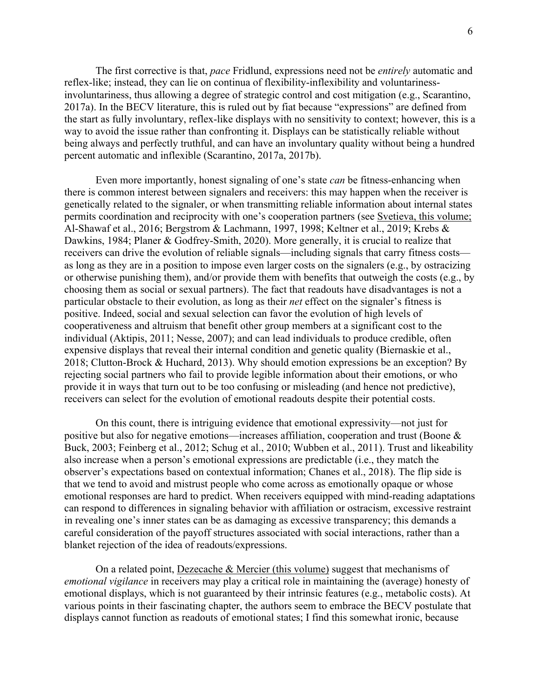The first corrective is that, *pace* Fridlund, expressions need not be *entirely* automatic and reflex-like; instead, they can lie on continua of flexibility-inflexibility and voluntarinessinvoluntariness, thus allowing a degree of strategic control and cost mitigation (e.g., Scarantino, 2017a). In the BECV literature, this is ruled out by fiat because "expressions" are defined from the start as fully involuntary, reflex-like displays with no sensitivity to context; however, this is a way to avoid the issue rather than confronting it. Displays can be statistically reliable without being always and perfectly truthful, and can have an involuntary quality without being a hundred percent automatic and inflexible (Scarantino, 2017a, 2017b).

Even more importantly, honest signaling of one's state *can* be fitness-enhancing when there is common interest between signalers and receivers: this may happen when the receiver is genetically related to the signaler, or when transmitting reliable information about internal states permits coordination and reciprocity with one's cooperation partners (see Svetieva, this volume; Al-Shawaf et al., 2016; Bergstrom & Lachmann, 1997, 1998; Keltner et al., 2019; Krebs & Dawkins, 1984; Planer & Godfrey-Smith, 2020). More generally, it is crucial to realize that receivers can drive the evolution of reliable signals—including signals that carry fitness costs as long as they are in a position to impose even larger costs on the signalers (e.g., by ostracizing or otherwise punishing them), and/or provide them with benefits that outweigh the costs (e.g., by choosing them as social or sexual partners). The fact that readouts have disadvantages is not a particular obstacle to their evolution, as long as their *net* effect on the signaler's fitness is positive. Indeed, social and sexual selection can favor the evolution of high levels of cooperativeness and altruism that benefit other group members at a significant cost to the individual (Aktipis, 2011; Nesse, 2007); and can lead individuals to produce credible, often expensive displays that reveal their internal condition and genetic quality (Biernaskie et al., 2018; Clutton-Brock & Huchard, 2013). Why should emotion expressions be an exception? By rejecting social partners who fail to provide legible information about their emotions, or who provide it in ways that turn out to be too confusing or misleading (and hence not predictive), receivers can select for the evolution of emotional readouts despite their potential costs.

On this count, there is intriguing evidence that emotional expressivity—not just for positive but also for negative emotions—increases affiliation, cooperation and trust (Boone & Buck, 2003; Feinberg et al., 2012; Schug et al., 2010; Wubben et al., 2011). Trust and likeability also increase when a person's emotional expressions are predictable (i.e., they match the observer's expectations based on contextual information; Chanes et al., 2018). The flip side is that we tend to avoid and mistrust people who come across as emotionally opaque or whose emotional responses are hard to predict. When receivers equipped with mind-reading adaptations can respond to differences in signaling behavior with affiliation or ostracism, excessive restraint in revealing one's inner states can be as damaging as excessive transparency; this demands a careful consideration of the payoff structures associated with social interactions, rather than a blanket rejection of the idea of readouts/expressions.

On a related point, Dezecache & Mercier (this volume) suggest that mechanisms of *emotional vigilance* in receivers may play a critical role in maintaining the (average) honesty of emotional displays, which is not guaranteed by their intrinsic features (e.g., metabolic costs). At various points in their fascinating chapter, the authors seem to embrace the BECV postulate that displays cannot function as readouts of emotional states; I find this somewhat ironic, because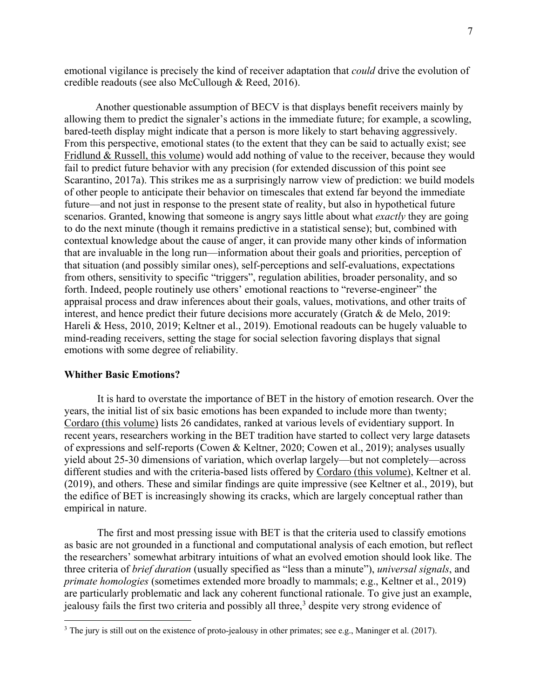emotional vigilance is precisely the kind of receiver adaptation that *could* drive the evolution of credible readouts (see also McCullough & Reed, 2016).

Another questionable assumption of BECV is that displays benefit receivers mainly by allowing them to predict the signaler's actions in the immediate future; for example, a scowling, bared-teeth display might indicate that a person is more likely to start behaving aggressively. From this perspective, emotional states (to the extent that they can be said to actually exist; see Fridlund & Russell, this volume) would add nothing of value to the receiver, because they would fail to predict future behavior with any precision (for extended discussion of this point see Scarantino, 2017a). This strikes me as a surprisingly narrow view of prediction: we build models of other people to anticipate their behavior on timescales that extend far beyond the immediate future—and not just in response to the present state of reality, but also in hypothetical future scenarios. Granted, knowing that someone is angry says little about what *exactly* they are going to do the next minute (though it remains predictive in a statistical sense); but, combined with contextual knowledge about the cause of anger, it can provide many other kinds of information that are invaluable in the long run—information about their goals and priorities, perception of that situation (and possibly similar ones), self-perceptions and self-evaluations, expectations from others, sensitivity to specific "triggers", regulation abilities, broader personality, and so forth. Indeed, people routinely use others' emotional reactions to "reverse-engineer" the appraisal process and draw inferences about their goals, values, motivations, and other traits of interest, and hence predict their future decisions more accurately (Gratch & de Melo, 2019: Hareli & Hess, 2010, 2019; Keltner et al., 2019). Emotional readouts can be hugely valuable to mind-reading receivers, setting the stage for social selection favoring displays that signal emotions with some degree of reliability.

#### **Whither Basic Emotions?**

It is hard to overstate the importance of BET in the history of emotion research. Over the years, the initial list of six basic emotions has been expanded to include more than twenty; Cordaro (this volume) lists 26 candidates, ranked at various levels of evidentiary support. In recent years, researchers working in the BET tradition have started to collect very large datasets of expressions and self-reports (Cowen & Keltner, 2020; Cowen et al., 2019); analyses usually yield about 25-30 dimensions of variation, which overlap largely—but not completely—across different studies and with the criteria-based lists offered by Cordaro (this volume), Keltner et al. (2019), and others. These and similar findings are quite impressive (see Keltner et al., 2019), but the edifice of BET is increasingly showing its cracks, which are largely conceptual rather than empirical in nature.

The first and most pressing issue with BET is that the criteria used to classify emotions as basic are not grounded in a functional and computational analysis of each emotion, but reflect the researchers' somewhat arbitrary intuitions of what an evolved emotion should look like. The three criteria of *brief duration* (usually specified as "less than a minute"), *universal signals*, and *primate homologies* (sometimes extended more broadly to mammals; e.g., Keltner et al., 2019) are particularly problematic and lack any coherent functional rationale. To give just an example, jealousy fails the first two criteria and possibly all three,<sup>3</sup> despite very strong evidence of

<sup>&</sup>lt;sup>3</sup> The jury is still out on the existence of proto-jealousy in other primates; see e.g., Maninger et al. (2017).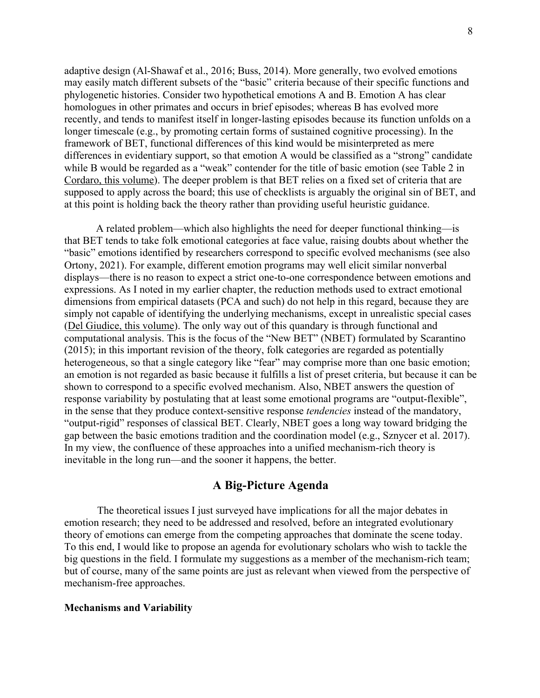adaptive design (Al-Shawaf et al., 2016; Buss, 2014). More generally, two evolved emotions may easily match different subsets of the "basic" criteria because of their specific functions and phylogenetic histories. Consider two hypothetical emotions A and B. Emotion A has clear homologues in other primates and occurs in brief episodes; whereas B has evolved more recently, and tends to manifest itself in longer-lasting episodes because its function unfolds on a longer timescale (e.g., by promoting certain forms of sustained cognitive processing). In the framework of BET, functional differences of this kind would be misinterpreted as mere differences in evidentiary support, so that emotion A would be classified as a "strong" candidate while B would be regarded as a "weak" contender for the title of basic emotion (see Table 2 in Cordaro, this volume). The deeper problem is that BET relies on a fixed set of criteria that are supposed to apply across the board; this use of checklists is arguably the original sin of BET, and at this point is holding back the theory rather than providing useful heuristic guidance.

A related problem—which also highlights the need for deeper functional thinking—is that BET tends to take folk emotional categories at face value, raising doubts about whether the "basic" emotions identified by researchers correspond to specific evolved mechanisms (see also Ortony, 2021). For example, different emotion programs may well elicit similar nonverbal displays—there is no reason to expect a strict one-to-one correspondence between emotions and expressions. As I noted in my earlier chapter, the reduction methods used to extract emotional dimensions from empirical datasets (PCA and such) do not help in this regard, because they are simply not capable of identifying the underlying mechanisms, except in unrealistic special cases (Del Giudice, this volume). The only way out of this quandary is through functional and computational analysis. This is the focus of the "New BET" (NBET) formulated by Scarantino (2015); in this important revision of the theory, folk categories are regarded as potentially heterogeneous, so that a single category like "fear" may comprise more than one basic emotion; an emotion is not regarded as basic because it fulfills a list of preset criteria, but because it can be shown to correspond to a specific evolved mechanism. Also, NBET answers the question of response variability by postulating that at least some emotional programs are "output-flexible", in the sense that they produce context-sensitive response *tendencies* instead of the mandatory, "output-rigid" responses of classical BET. Clearly, NBET goes a long way toward bridging the gap between the basic emotions tradition and the coordination model (e.g., Sznycer et al. 2017). In my view, the confluence of these approaches into a unified mechanism-rich theory is inevitable in the long run—and the sooner it happens, the better.

## **A Big-Picture Agenda**

The theoretical issues I just surveyed have implications for all the major debates in emotion research; they need to be addressed and resolved, before an integrated evolutionary theory of emotions can emerge from the competing approaches that dominate the scene today. To this end, I would like to propose an agenda for evolutionary scholars who wish to tackle the big questions in the field. I formulate my suggestions as a member of the mechanism-rich team; but of course, many of the same points are just as relevant when viewed from the perspective of mechanism-free approaches.

#### **Mechanisms and Variability**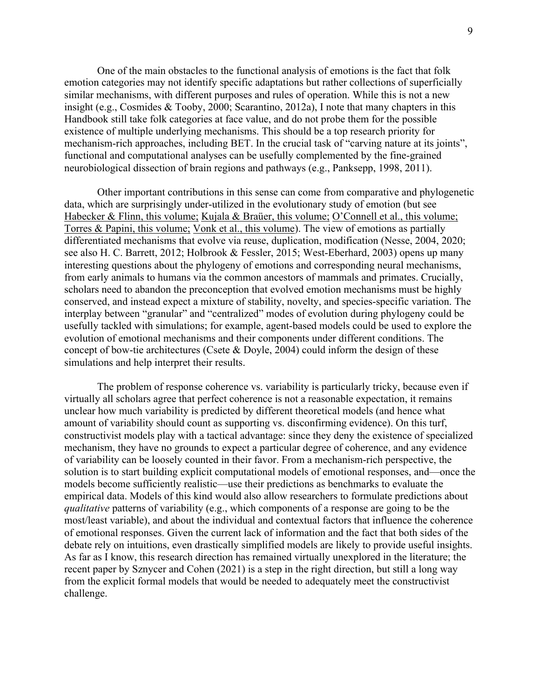One of the main obstacles to the functional analysis of emotions is the fact that folk emotion categories may not identify specific adaptations but rather collections of superficially similar mechanisms, with different purposes and rules of operation. While this is not a new insight (e.g., Cosmides & Tooby, 2000; Scarantino, 2012a), I note that many chapters in this Handbook still take folk categories at face value, and do not probe them for the possible existence of multiple underlying mechanisms. This should be a top research priority for mechanism-rich approaches, including BET. In the crucial task of "carving nature at its joints", functional and computational analyses can be usefully complemented by the fine-grained neurobiological dissection of brain regions and pathways (e.g., Panksepp, 1998, 2011).

Other important contributions in this sense can come from comparative and phylogenetic data, which are surprisingly under-utilized in the evolutionary study of emotion (but see Habecker & Flinn, this volume; Kujala & Braüer, this volume; O'Connell et al., this volume; Torres & Papini, this volume; Vonk et al., this volume). The view of emotions as partially differentiated mechanisms that evolve via reuse, duplication, modification (Nesse, 2004, 2020; see also H. C. Barrett, 2012; Holbrook & Fessler, 2015; West-Eberhard, 2003) opens up many interesting questions about the phylogeny of emotions and corresponding neural mechanisms, from early animals to humans via the common ancestors of mammals and primates. Crucially, scholars need to abandon the preconception that evolved emotion mechanisms must be highly conserved, and instead expect a mixture of stability, novelty, and species-specific variation. The interplay between "granular" and "centralized" modes of evolution during phylogeny could be usefully tackled with simulations; for example, agent-based models could be used to explore the evolution of emotional mechanisms and their components under different conditions. The concept of bow-tie architectures (Csete & Doyle, 2004) could inform the design of these simulations and help interpret their results.

The problem of response coherence vs. variability is particularly tricky, because even if virtually all scholars agree that perfect coherence is not a reasonable expectation, it remains unclear how much variability is predicted by different theoretical models (and hence what amount of variability should count as supporting vs. disconfirming evidence). On this turf, constructivist models play with a tactical advantage: since they deny the existence of specialized mechanism, they have no grounds to expect a particular degree of coherence, and any evidence of variability can be loosely counted in their favor. From a mechanism-rich perspective, the solution is to start building explicit computational models of emotional responses, and—once the models become sufficiently realistic—use their predictions as benchmarks to evaluate the empirical data. Models of this kind would also allow researchers to formulate predictions about *qualitative* patterns of variability (e.g., which components of a response are going to be the most/least variable), and about the individual and contextual factors that influence the coherence of emotional responses. Given the current lack of information and the fact that both sides of the debate rely on intuitions, even drastically simplified models are likely to provide useful insights. As far as I know, this research direction has remained virtually unexplored in the literature; the recent paper by Sznycer and Cohen (2021) is a step in the right direction, but still a long way from the explicit formal models that would be needed to adequately meet the constructivist challenge.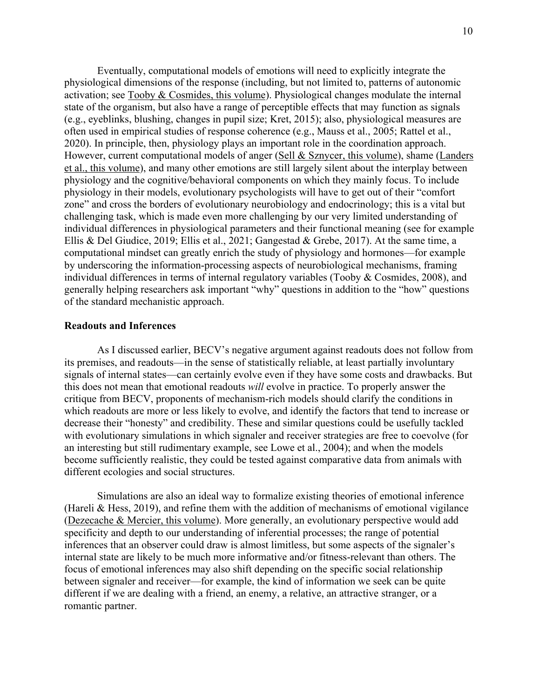Eventually, computational models of emotions will need to explicitly integrate the physiological dimensions of the response (including, but not limited to, patterns of autonomic activation; see Tooby & Cosmides, this volume). Physiological changes modulate the internal state of the organism, but also have a range of perceptible effects that may function as signals (e.g., eyeblinks, blushing, changes in pupil size; Kret, 2015); also, physiological measures are often used in empirical studies of response coherence (e.g., Mauss et al., 2005; Rattel et al., 2020). In principle, then, physiology plays an important role in the coordination approach. However, current computational models of anger (Sell & Sznycer, this volume), shame (Landers et al., this volume), and many other emotions are still largely silent about the interplay between physiology and the cognitive/behavioral components on which they mainly focus. To include physiology in their models, evolutionary psychologists will have to get out of their "comfort zone" and cross the borders of evolutionary neurobiology and endocrinology; this is a vital but challenging task, which is made even more challenging by our very limited understanding of individual differences in physiological parameters and their functional meaning (see for example Ellis & Del Giudice, 2019; Ellis et al., 2021; Gangestad & Grebe, 2017). At the same time, a computational mindset can greatly enrich the study of physiology and hormones—for example by underscoring the information-processing aspects of neurobiological mechanisms, framing individual differences in terms of internal regulatory variables (Tooby & Cosmides, 2008), and generally helping researchers ask important "why" questions in addition to the "how" questions of the standard mechanistic approach.

#### **Readouts and Inferences**

As I discussed earlier, BECV's negative argument against readouts does not follow from its premises, and readouts—in the sense of statistically reliable, at least partially involuntary signals of internal states—can certainly evolve even if they have some costs and drawbacks. But this does not mean that emotional readouts *will* evolve in practice. To properly answer the critique from BECV, proponents of mechanism-rich models should clarify the conditions in which readouts are more or less likely to evolve, and identify the factors that tend to increase or decrease their "honesty" and credibility. These and similar questions could be usefully tackled with evolutionary simulations in which signaler and receiver strategies are free to coevolve (for an interesting but still rudimentary example, see Lowe et al., 2004); and when the models become sufficiently realistic, they could be tested against comparative data from animals with different ecologies and social structures.

Simulations are also an ideal way to formalize existing theories of emotional inference (Hareli & Hess, 2019), and refine them with the addition of mechanisms of emotional vigilance (Dezecache & Mercier, this volume). More generally, an evolutionary perspective would add specificity and depth to our understanding of inferential processes; the range of potential inferences that an observer could draw is almost limitless, but some aspects of the signaler's internal state are likely to be much more informative and/or fitness-relevant than others. The focus of emotional inferences may also shift depending on the specific social relationship between signaler and receiver—for example, the kind of information we seek can be quite different if we are dealing with a friend, an enemy, a relative, an attractive stranger, or a romantic partner.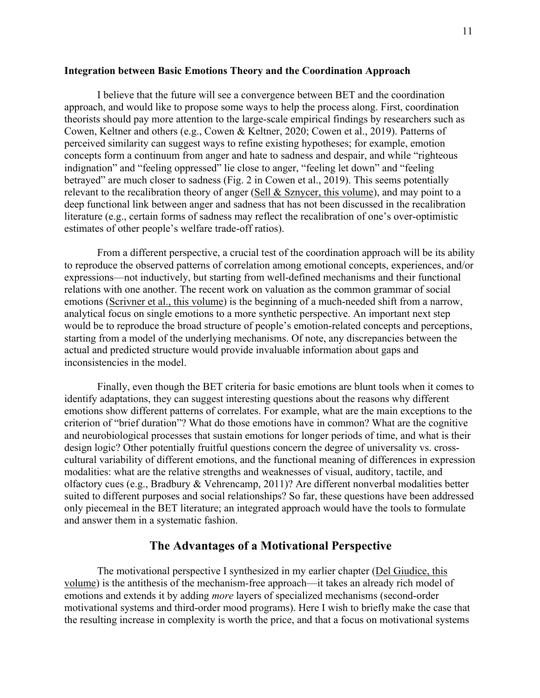#### **Integration between Basic Emotions Theory and the Coordination Approach**

I believe that the future will see a convergence between BET and the coordination approach, and would like to propose some ways to help the process along. First, coordination theorists should pay more attention to the large-scale empirical findings by researchers such as Cowen, Keltner and others (e.g., Cowen & Keltner, 2020; Cowen et al., 2019). Patterns of perceived similarity can suggest ways to refine existing hypotheses; for example, emotion concepts form a continuum from anger and hate to sadness and despair, and while "righteous indignation" and "feeling oppressed" lie close to anger, "feeling let down" and "feeling betrayed" are much closer to sadness (Fig. 2 in Cowen et al., 2019). This seems potentially relevant to the recalibration theory of anger (Sell & Sznycer, this volume), and may point to a deep functional link between anger and sadness that has not been discussed in the recalibration literature (e.g., certain forms of sadness may reflect the recalibration of one's over-optimistic estimates of other people's welfare trade-off ratios).

From a different perspective, a crucial test of the coordination approach will be its ability to reproduce the observed patterns of correlation among emotional concepts, experiences, and/or expressions—not inductively, but starting from well-defined mechanisms and their functional relations with one another. The recent work on valuation as the common grammar of social emotions (Scrivner et al., this volume) is the beginning of a much-needed shift from a narrow, analytical focus on single emotions to a more synthetic perspective. An important next step would be to reproduce the broad structure of people's emotion-related concepts and perceptions, starting from a model of the underlying mechanisms. Of note, any discrepancies between the actual and predicted structure would provide invaluable information about gaps and inconsistencies in the model.

Finally, even though the BET criteria for basic emotions are blunt tools when it comes to identify adaptations, they can suggest interesting questions about the reasons why different emotions show different patterns of correlates. For example, what are the main exceptions to the criterion of "brief duration"? What do those emotions have in common? What are the cognitive and neurobiological processes that sustain emotions for longer periods of time, and what is their design logic? Other potentially fruitful questions concern the degree of universality vs. crosscultural variability of different emotions, and the functional meaning of differences in expression modalities: what are the relative strengths and weaknesses of visual, auditory, tactile, and olfactory cues (e.g., Bradbury & Vehrencamp, 2011)? Are different nonverbal modalities better suited to different purposes and social relationships? So far, these questions have been addressed only piecemeal in the BET literature; an integrated approach would have the tools to formulate and answer them in a systematic fashion.

## **The Advantages of a Motivational Perspective**

The motivational perspective I synthesized in my earlier chapter (Del Giudice, this volume) is the antithesis of the mechanism-free approach—it takes an already rich model of emotions and extends it by adding *more* layers of specialized mechanisms (second-order motivational systems and third-order mood programs). Here I wish to briefly make the case that the resulting increase in complexity is worth the price, and that a focus on motivational systems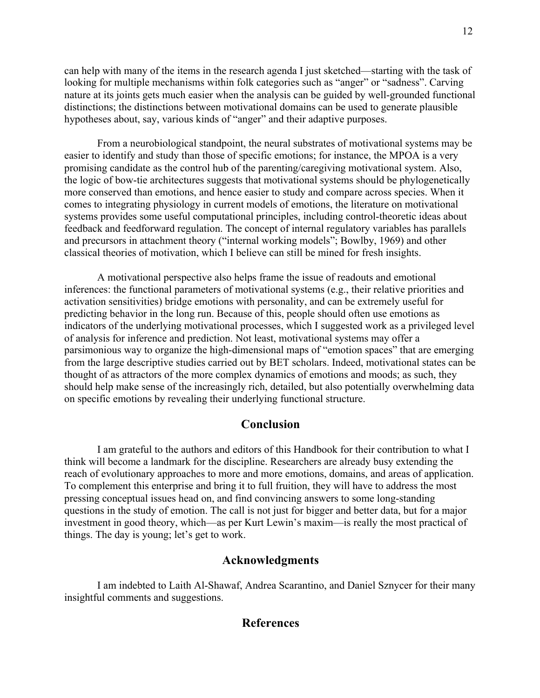can help with many of the items in the research agenda I just sketched—starting with the task of looking for multiple mechanisms within folk categories such as "anger" or "sadness". Carving nature at its joints gets much easier when the analysis can be guided by well-grounded functional distinctions; the distinctions between motivational domains can be used to generate plausible hypotheses about, say, various kinds of "anger" and their adaptive purposes.

From a neurobiological standpoint, the neural substrates of motivational systems may be easier to identify and study than those of specific emotions; for instance, the MPOA is a very promising candidate as the control hub of the parenting/caregiving motivational system. Also, the logic of bow-tie architectures suggests that motivational systems should be phylogenetically more conserved than emotions, and hence easier to study and compare across species. When it comes to integrating physiology in current models of emotions, the literature on motivational systems provides some useful computational principles, including control-theoretic ideas about feedback and feedforward regulation. The concept of internal regulatory variables has parallels and precursors in attachment theory ("internal working models"; Bowlby, 1969) and other classical theories of motivation, which I believe can still be mined for fresh insights.

A motivational perspective also helps frame the issue of readouts and emotional inferences: the functional parameters of motivational systems (e.g., their relative priorities and activation sensitivities) bridge emotions with personality, and can be extremely useful for predicting behavior in the long run. Because of this, people should often use emotions as indicators of the underlying motivational processes, which I suggested work as a privileged level of analysis for inference and prediction. Not least, motivational systems may offer a parsimonious way to organize the high-dimensional maps of "emotion spaces" that are emerging from the large descriptive studies carried out by BET scholars. Indeed, motivational states can be thought of as attractors of the more complex dynamics of emotions and moods; as such, they should help make sense of the increasingly rich, detailed, but also potentially overwhelming data on specific emotions by revealing their underlying functional structure.

## **Conclusion**

I am grateful to the authors and editors of this Handbook for their contribution to what I think will become a landmark for the discipline. Researchers are already busy extending the reach of evolutionary approaches to more and more emotions, domains, and areas of application. To complement this enterprise and bring it to full fruition, they will have to address the most pressing conceptual issues head on, and find convincing answers to some long-standing questions in the study of emotion. The call is not just for bigger and better data, but for a major investment in good theory, which—as per Kurt Lewin's maxim—is really the most practical of things. The day is young; let's get to work.

## **Acknowledgments**

I am indebted to Laith Al-Shawaf, Andrea Scarantino, and Daniel Sznycer for their many insightful comments and suggestions.

## **References**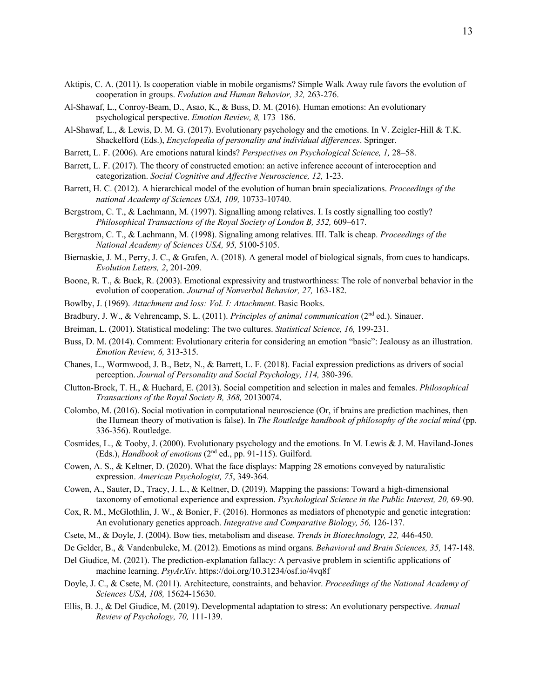- Aktipis, C. A. (2011). Is cooperation viable in mobile organisms? Simple Walk Away rule favors the evolution of cooperation in groups. *Evolution and Human Behavior, 32,* 263-276.
- Al-Shawaf, L., Conroy-Beam, D., Asao, K., & Buss, D. M. (2016). Human emotions: An evolutionary psychological perspective. *Emotion Review, 8,* 173–186.
- Al-Shawaf, L., & Lewis, D. M. G. (2017). Evolutionary psychology and the emotions. In V. Zeigler-Hill & T.K. Shackelford (Eds.), *Encyclopedia of personality and individual differences*. Springer.
- Barrett, L. F. (2006). Are emotions natural kinds? *Perspectives on Psychological Science, 1,* 28–58.
- Barrett, L. F. (2017). The theory of constructed emotion: an active inference account of interoception and categorization. *Social Cognitive and Affective Neuroscience, 12,* 1-23.
- Barrett, H. C. (2012). A hierarchical model of the evolution of human brain specializations. *Proceedings of the national Academy of Sciences USA, 109,* 10733-10740.
- Bergstrom, C. T., & Lachmann, M. (1997). Signalling among relatives. I. Is costly signalling too costly? *Philosophical Transactions of the Royal Society of London B, 352,* 609–617.
- Bergstrom, C. T., & Lachmann, M. (1998). Signaling among relatives. III. Talk is cheap. *Proceedings of the National Academy of Sciences USA, 95,* 5100-5105.
- Biernaskie, J. M., Perry, J. C., & Grafen, A. (2018). A general model of biological signals, from cues to handicaps. *Evolution Letters, 2*, 201-209.
- Boone, R. T., & Buck, R. (2003). Emotional expressivity and trustworthiness: The role of nonverbal behavior in the evolution of cooperation. *Journal of Nonverbal Behavior, 27,* 163-182.
- Bowlby, J. (1969). *Attachment and loss: Vol. I: Attachment*. Basic Books.
- Bradbury, J. W., & Vehrencamp, S. L. (2011). *Principles of animal communication* (2nd ed.). Sinauer.
- Breiman, L. (2001). Statistical modeling: The two cultures. *Statistical Science, 16,* 199-231.
- Buss, D. M. (2014). Comment: Evolutionary criteria for considering an emotion "basic": Jealousy as an illustration. *Emotion Review, 6,* 313-315.
- Chanes, L., Wormwood, J. B., Betz, N., & Barrett, L. F. (2018). Facial expression predictions as drivers of social perception. *Journal of Personality and Social Psychology, 114,* 380-396.
- Clutton-Brock, T. H., & Huchard, E. (2013). Social competition and selection in males and females. *Philosophical Transactions of the Royal Society B, 368,* 20130074.
- Colombo, M. (2016). Social motivation in computational neuroscience (Or, if brains are prediction machines, then the Humean theory of motivation is false). In *The Routledge handbook of philosophy of the social mind* (pp. 336-356). Routledge.
- Cosmides, L., & Tooby, J. (2000). Evolutionary psychology and the emotions. In M. Lewis & J. M. Haviland-Jones (Eds.), *Handbook of emotions* (2nd ed., pp. 91-115). Guilford.
- Cowen, A. S., & Keltner, D. (2020). What the face displays: Mapping 28 emotions conveyed by naturalistic expression. *American Psychologist, 75*, 349-364.
- Cowen, A., Sauter, D., Tracy, J. L., & Keltner, D. (2019). Mapping the passions: Toward a high-dimensional taxonomy of emotional experience and expression. *Psychological Science in the Public Interest, 20,* 69-90.
- Cox, R. M., McGlothlin, J. W., & Bonier, F. (2016). Hormones as mediators of phenotypic and genetic integration: An evolutionary genetics approach. *Integrative and Comparative Biology, 56,* 126-137.
- Csete, M., & Doyle, J. (2004). Bow ties, metabolism and disease. *Trends in Biotechnology, 22,* 446-450.
- De Gelder, B., & Vandenbulcke, M. (2012). Emotions as mind organs. *Behavioral and Brain Sciences, 35,* 147-148.
- Del Giudice, M. (2021). The prediction-explanation fallacy: A pervasive problem in scientific applications of machine learning. *PsyArXiv*. https://doi.org/10.31234/osf.io/4vq8f
- Doyle, J. C., & Csete, M. (2011). Architecture, constraints, and behavior. *Proceedings of the National Academy of Sciences USA, 108,* 15624-15630.
- Ellis, B. J., & Del Giudice, M. (2019). Developmental adaptation to stress: An evolutionary perspective. *Annual Review of Psychology, 70,* 111-139.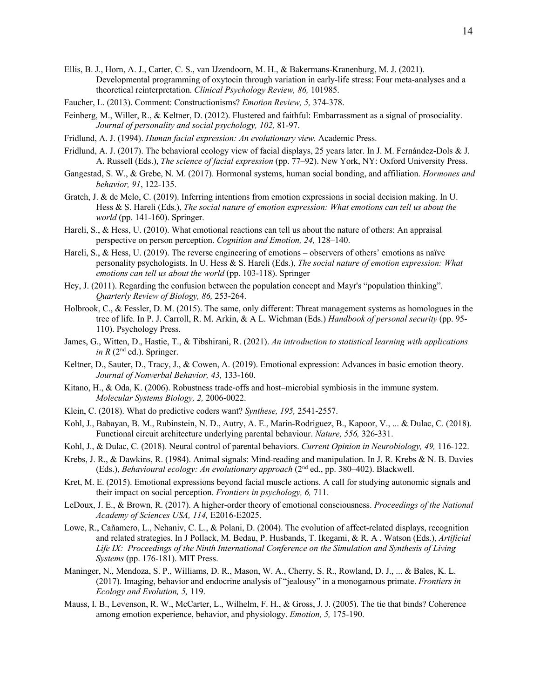- Ellis, B. J., Horn, A. J., Carter, C. S., van IJzendoorn, M. H., & Bakermans-Kranenburg, M. J. (2021). Developmental programming of oxytocin through variation in early-life stress: Four meta-analyses and a theoretical reinterpretation. *Clinical Psychology Review, 86,* 101985.
- Faucher, L. (2013). Comment: Constructionisms? *Emotion Review, 5,* 374-378.
- Feinberg, M., Willer, R., & Keltner, D. (2012). Flustered and faithful: Embarrassment as a signal of prosociality. *Journal of personality and social psychology, 102,* 81-97.
- Fridlund, A. J. (1994). *Human facial expression: An evolutionary view.* Academic Press.
- Fridlund, A. J. (2017). The behavioral ecology view of facial displays, 25 years later. In J. M. Fernández-Dols & J. A. Russell (Eds.), *The science of facial expression* (pp. 77–92). New York, NY: Oxford University Press.
- Gangestad, S. W., & Grebe, N. M. (2017). Hormonal systems, human social bonding, and affiliation. *Hormones and behavior, 91*, 122-135.
- Gratch, J. & de Melo, C. (2019). Inferring intentions from emotion expressions in social decision making. In U. Hess & S. Hareli (Eds.), *The social nature of emotion expression: What emotions can tell us about the world* (pp. 141-160). Springer.
- Hareli, S., & Hess, U. (2010). What emotional reactions can tell us about the nature of others: An appraisal perspective on person perception. *Cognition and Emotion, 24,* 128–140.
- Hareli, S., & Hess, U. (2019). The reverse engineering of emotions observers of others' emotions as naïve personality psychologists. In U. Hess & S. Hareli (Eds.), *The social nature of emotion expression: What emotions can tell us about the world* (pp. 103-118). Springer
- Hey, J. (2011). Regarding the confusion between the population concept and Mayr's "population thinking". *Quarterly Review of Biology, 86,* 253-264.
- Holbrook, C., & Fessler, D. M. (2015). The same, only different: Threat management systems as homologues in the tree of life. In P. J. Carroll, R. M. Arkin, & A L. Wichman (Eds.) *Handbook of personal security* (pp. 95- 110). Psychology Press.
- James, G., Witten, D., Hastie, T., & Tibshirani, R. (2021). *An introduction to statistical learning with applications in R* ( $2<sup>nd</sup>$  ed.). Springer.
- Keltner, D., Sauter, D., Tracy, J., & Cowen, A. (2019). Emotional expression: Advances in basic emotion theory. *Journal of Nonverbal Behavior, 43,* 133-160.
- Kitano, H., & Oda, K. (2006). Robustness trade-offs and host–microbial symbiosis in the immune system. *Molecular Systems Biology, 2,* 2006-0022.
- Klein, C. (2018). What do predictive coders want? *Synthese, 195,* 2541-2557.
- Kohl, J., Babayan, B. M., Rubinstein, N. D., Autry, A. E., Marin-Rodriguez, B., Kapoor, V., ... & Dulac, C. (2018). Functional circuit architecture underlying parental behaviour. *Nature, 556,* 326-331.
- Kohl, J., & Dulac, C. (2018). Neural control of parental behaviors. *Current Opinion in Neurobiology, 49,* 116-122.
- Krebs, J. R., & Dawkins, R. (1984). Animal signals: Mind-reading and manipulation. In J. R. Krebs & N. B. Davies (Eds.), *Behavioural ecology: An evolutionary approach* (2nd ed., pp. 380–402). Blackwell.
- Kret, M. E. (2015). Emotional expressions beyond facial muscle actions. A call for studying autonomic signals and their impact on social perception. *Frontiers in psychology, 6,* 711.
- LeDoux, J. E., & Brown, R. (2017). A higher-order theory of emotional consciousness. *Proceedings of the National Academy of Sciences USA, 114,* E2016-E2025.
- Lowe, R., Cañamero, L., Nehaniv, C. L., & Polani, D. (2004). The evolution of affect-related displays, recognition and related strategies. In J Pollack, M. Bedau, P. Husbands, T. Ikegami, & R. A . Watson (Eds.), *Artificial Life IX: Proceedings of the Ninth International Conference on the Simulation and Synthesis of Living Systems* (pp. 176-181). MIT Press.
- Maninger, N., Mendoza, S. P., Williams, D. R., Mason, W. A., Cherry, S. R., Rowland, D. J., ... & Bales, K. L. (2017). Imaging, behavior and endocrine analysis of "jealousy" in a monogamous primate. *Frontiers in Ecology and Evolution, 5,* 119.
- Mauss, I. B., Levenson, R. W., McCarter, L., Wilhelm, F. H., & Gross, J. J. (2005). The tie that binds? Coherence among emotion experience, behavior, and physiology. *Emotion, 5,* 175-190.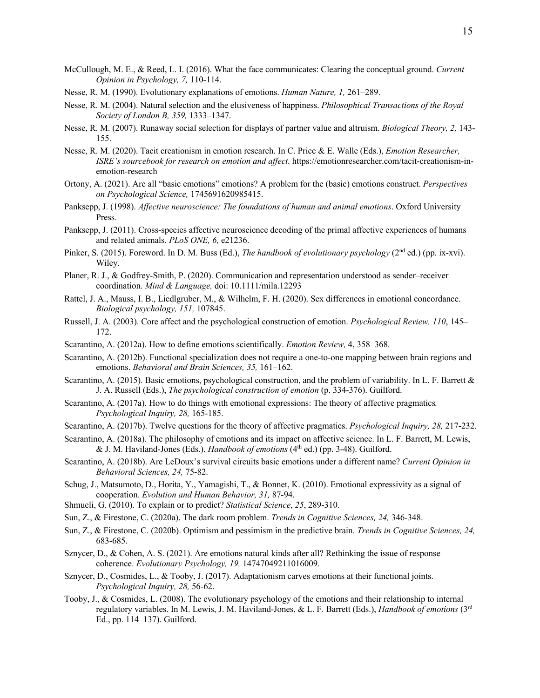- McCullough, M. E., & Reed, L. I. (2016). What the face communicates: Clearing the conceptual ground. *Current Opinion in Psychology, 7,* 110-114.
- Nesse, R. M. (1990). Evolutionary explanations of emotions. *Human Nature, 1,* 261–289.
- Nesse, R. M. (2004). Natural selection and the elusiveness of happiness. *Philosophical Transactions of the Royal Society of London B, 359,* 1333–1347.
- Nesse, R. M. (2007). Runaway social selection for displays of partner value and altruism. *Biological Theory, 2,* 143- 155.
- Nesse, R. M. (2020). Tacit creationism in emotion research. In C. Price & E. Walle (Eds.), *Emotion Researcher, ISRE's sourcebook for research on emotion and affect*. https://emotionresearcher.com/tacit-creationism-inemotion-research
- Ortony, A. (2021). Are all "basic emotions" emotions? A problem for the (basic) emotions construct. *Perspectives on Psychological Science,* 1745691620985415.
- Panksepp, J. (1998). *Affective neuroscience: The foundations of human and animal emotions*. Oxford University Press.
- Panksepp, J. (2011). Cross-species affective neuroscience decoding of the primal affective experiences of humans and related animals. *PLoS ONE, 6,* e21236.
- Pinker, S. (2015). Foreword. In D. M. Buss (Ed.), *The handbook of evolutionary psychology* (2<sup>nd</sup> ed.) (pp. ix-xvi). Wiley.
- Planer, R. J., & Godfrey‐Smith, P. (2020). Communication and representation understood as sender–receiver coordination. *Mind & Language,* doi: 10.1111/mila.12293
- Rattel, J. A., Mauss, I. B., Liedlgruber, M., & Wilhelm, F. H. (2020). Sex differences in emotional concordance. *Biological psychology, 151,* 107845.
- Russell, J. A. (2003). Core affect and the psychological construction of emotion. *Psychological Review, 110*, 145– 172.
- Scarantino, A. (2012a). How to define emotions scientifically. *Emotion Review,* 4, 358–368.
- Scarantino, A. (2012b). Functional specialization does not require a one-to-one mapping between brain regions and emotions. *Behavioral and Brain Sciences, 35,* 161–162.
- Scarantino, A. (2015). Basic emotions, psychological construction, and the problem of variability. In L. F. Barrett & J. A. Russell (Eds.), *The psychological construction of emotion* (p. 334-376). Guilford.
- Scarantino, A. (2017a). How to do things with emotional expressions: The theory of affective pragmatics*. Psychological Inquiry, 28,* 165-185.
- Scarantino, A. (2017b). Twelve questions for the theory of affective pragmatics. *Psychological Inquiry, 28,* 217-232.
- Scarantino, A. (2018a). The philosophy of emotions and its impact on affective science. In L. F. Barrett, M. Lewis, & J. M. Haviland-Jones (Eds.), *Handbook of emotions* (4th ed.) (pp. 3-48). Guilford.
- Scarantino, A. (2018b). Are LeDoux's survival circuits basic emotions under a different name? *Current Opinion in Behavioral Sciences, 24,* 75-82.
- Schug, J., Matsumoto, D., Horita, Y., Yamagishi, T., & Bonnet, K. (2010). Emotional expressivity as a signal of cooperation. *Evolution and Human Behavior, 31,* 87-94.
- Shmueli, G. (2010). To explain or to predict? *Statistical Science*, *25*, 289-310.
- Sun, Z., & Firestone, C. (2020a). The dark room problem. *Trends in Cognitive Sciences, 24,* 346-348.
- Sun, Z., & Firestone, C. (2020b). Optimism and pessimism in the predictive brain. *Trends in Cognitive Sciences, 24,* 683-685.
- Sznycer, D., & Cohen, A. S. (2021). Are emotions natural kinds after all? Rethinking the issue of response coherence. *Evolutionary Psychology, 19,* 14747049211016009.
- Sznycer, D., Cosmides, L., & Tooby, J. (2017). Adaptationism carves emotions at their functional joints. *Psychological Inquiry, 28,* 56-62.
- Tooby, J., & Cosmides, L. (2008). The evolutionary psychology of the emotions and their relationship to internal regulatory variables. In M. Lewis, J. M. Haviland-Jones, & L. F. Barrett (Eds.), *Handbook of emotions* (3rd Ed., pp. 114–137). Guilford.